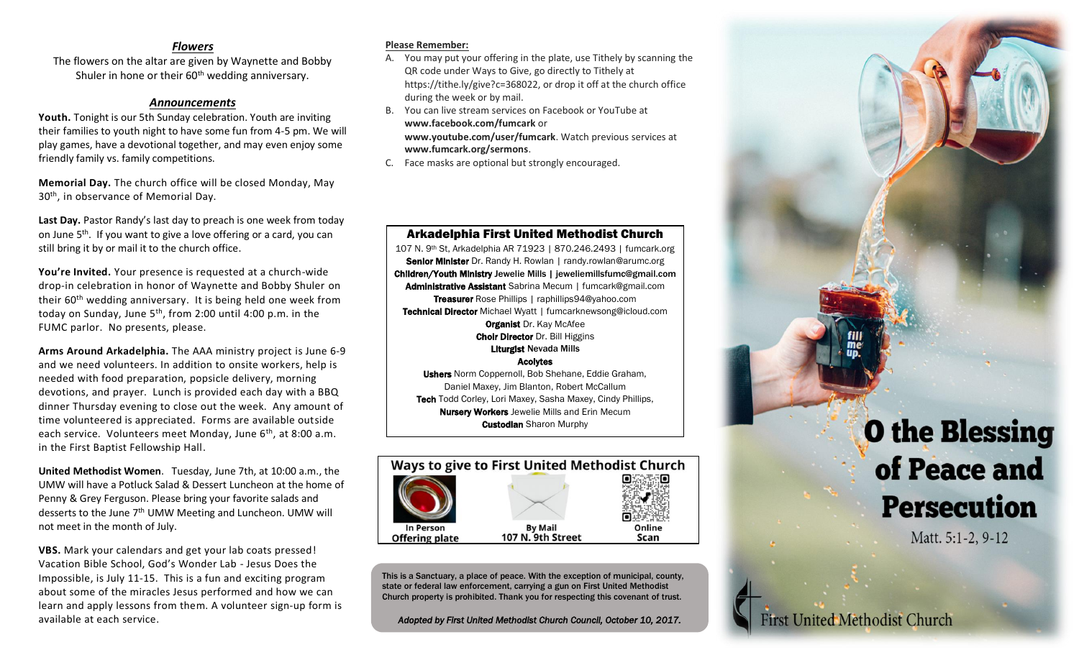#### *Flowers*

The flowers on the altar are given by Waynette and Bobby Shuler in hone or their  $60<sup>th</sup>$  wedding anniversary.

#### *Announcements*

**Youth.** Tonight is our 5th Sunday celebration. Youth are inviting their families to youth night to have some fun from 4-5 pm. We will play games, have a devotional together, and may even enjoy some friendly family vs. family competitions.

**Memorial Day.** The church office will be closed Monday, May 30<sup>th</sup>, in observance of Memorial Day.

Last Day. Pastor Randy's last day to preach is one week from today on June 5th. If you want to give a love offering or a card, you can still bring it by or mail it to the church office.

**You're Invited.** Your presence is requested at a church-wide drop-in celebration in honor of Waynette and Bobby Shuler on their 60th wedding anniversary. It is being held one week from today on Sunday, June 5<sup>th</sup>, from 2:00 until 4:00 p.m. in the FUMC parlor. No presents, please.

**Arms Around Arkadelphia.** The AAA ministry project is June 6-9 and we need volunteers. In addition to onsite workers, help is needed with food preparation, popsicle delivery, morning devotions, and prayer. Lunch is provided each day with a BBQ dinner Thursday evening to close out the week. Any amount of time volunteered is appreciated. Forms are available outside each service. Volunteers meet Monday, June 6<sup>th</sup>, at 8:00 a.m. in the First Baptist Fellowship Hall.

**United Methodist Women**. Tuesday, June 7th, at 10:00 a.m., the UMW will have a Potluck Salad & Dessert Luncheon at the home of Penny & Grey Ferguson. Please bring your favorite salads and desserts to the June 7th UMW Meeting and Luncheon. UMW will not meet in the month of July.

**VBS.** Mark your calendars and get your lab coats pressed! Vacation Bible School, God's Wonder Lab - Jesus Does the Impossible, is July 11-15. This is a fun and exciting program about some of the miracles Jesus performed and how we can learn and apply lessons from them. A volunteer sign-up form is available at each service.

#### **Please Remember:**

- A. You may put your offering in the plate, use Tithely by scanning the QR code under Ways to Give, go directly to Tithely at https://tithe.ly/give?c=368022, or drop it off at the church office during the week or by mail.
- B. You can live stream services on Facebook or YouTube at **www.facebook.com/fumcark** or **www.youtube.com/user/fumcark**. Watch previous services at **www.fumcark.org/sermons**.
- C. Face masks are optional but strongly encouraged.



**Persecution** 

Matt. 5:1-2, 9-12

**First United Methodist Church** 

#### Arkadelphia First United Methodist Church

107 N. 9th St, Arkadelphia AR 71923 | 870.246.2493 | fumcark.org Senior Minister Dr. Randy H. Rowlan | randy.rowlan@arumc.org Children/Youth Ministry Jewelie Mills | jeweliemillsfumc@gmail.com Administrative Assistant Sabrina Mecum | fumcark@gmail.com Treasurer Rose Phillips | raphillips94@yahoo.com Technical Director Michael Wyatt | fumcarknewsong@icloud.com **Organist Dr. Kay McAfee** Choir Director Dr. Bill Higgins Liturgist Nevada Mills

Acolytes

Ushers Norm Coppernoll, Bob Shehane, Eddie Graham, Daniel Maxey, Jim Blanton, Robert McCallum Tech Todd Corley, Lori Maxey, Sasha Maxey, Cindy Phillips, **Nursery Workers** Jewelie Mills and Erin Mecum **Custodian** Sharon Murphy



This is a Sanctuary, a place of peace. With the exception of municipal, county, state or federal law enforcement, carrying a gun on First United Methodist Church property is prohibited. Thank you for respecting this covenant of trust.

*Adopted by First United Methodist Church Council, October 10, 2017.*